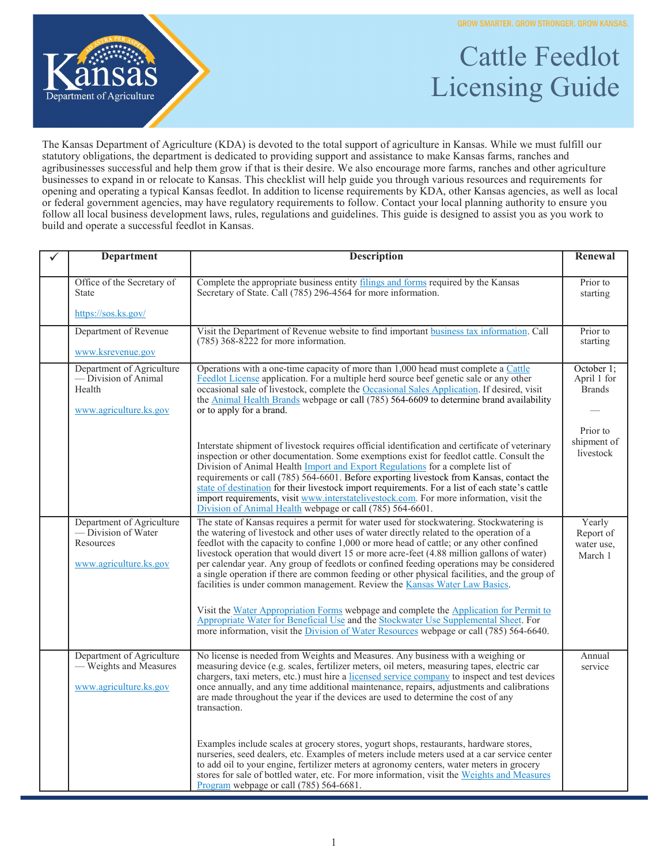

## Cattle Feedlot Licensing Guide

The Kansas Department of Agriculture (KDA) is devoted to the total support of agriculture in Kansas. While we must fulfill our statutory obligations, the department is dedicated to providing support and assistance to make Kansas farms, ranches and agribusinesses successful and help them grow if that is their desire. We also encourage more farms, ranches and other agriculture businesses to expand in or relocate to Kansas. This checklist will help guide you through various resources and requirements for opening and operating a typical Kansas feedlot. In addition to license requirements by KDA, other Kansas agencies, as well as local or federal government agencies, may have regulatory requirements to follow. Contact your local planning authority to ensure you follow all local business development laws, rules, regulations and guidelines. This guide is designed to assist you as you work to build and operate a successful feedlot in Kansas.

| <b>Department</b>                                                                              | <b>Description</b>                                                                                                                                                                                                                                                                                                                                                                                                                                                                                                                                                                                                                                                                                                                                                                                                                                                                                                                     | Renewal                                      |
|------------------------------------------------------------------------------------------------|----------------------------------------------------------------------------------------------------------------------------------------------------------------------------------------------------------------------------------------------------------------------------------------------------------------------------------------------------------------------------------------------------------------------------------------------------------------------------------------------------------------------------------------------------------------------------------------------------------------------------------------------------------------------------------------------------------------------------------------------------------------------------------------------------------------------------------------------------------------------------------------------------------------------------------------|----------------------------------------------|
| Office of the Secretary of<br><b>State</b>                                                     | Complete the appropriate business entity filings and forms required by the Kansas<br>Secretary of State. Call (785) 296-4564 for more information.                                                                                                                                                                                                                                                                                                                                                                                                                                                                                                                                                                                                                                                                                                                                                                                     | Prior to<br>starting                         |
| https://sos.ks.gov/                                                                            |                                                                                                                                                                                                                                                                                                                                                                                                                                                                                                                                                                                                                                                                                                                                                                                                                                                                                                                                        |                                              |
| Department of Revenue                                                                          | Visit the Department of Revenue website to find important business tax information. Call<br>$(785)$ 368-8222 for more information.                                                                                                                                                                                                                                                                                                                                                                                                                                                                                                                                                                                                                                                                                                                                                                                                     | Prior to<br>starting                         |
| www.ksrevenue.gov                                                                              |                                                                                                                                                                                                                                                                                                                                                                                                                                                                                                                                                                                                                                                                                                                                                                                                                                                                                                                                        |                                              |
| Department of Agriculture<br>— Division of Animal<br>Health<br>www.agriculture.ks.gov          | Operations with a one-time capacity of more than 1,000 head must complete a Cattle<br>Feedlot License application. For a multiple herd source beef genetic sale or any other<br>occasional sale of livestock, complete the Occasional Sales Application. If desired, visit<br>the Animal Health Brands webpage or call (785) 564-6609 to determine brand availability<br>or to apply for a brand.                                                                                                                                                                                                                                                                                                                                                                                                                                                                                                                                      | October 1;<br>April 1 for<br><b>Brands</b>   |
|                                                                                                | Interstate shipment of livestock requires official identification and certificate of veterinary<br>inspection or other documentation. Some exemptions exist for feedlot cattle. Consult the<br>Division of Animal Health Import and Export Regulations for a complete list of<br>requirements or call (785) 564-6601. Before exporting livestock from Kansas, contact the<br>state of destination for their livestock import requirements. For a list of each state's cattle<br>import requirements, visit www.interstatelivestock.com. For more information, visit the<br>Division of Animal Health webpage or call (785) 564-6601.                                                                                                                                                                                                                                                                                                   | Prior to<br>shipment of<br>livestock         |
| Department of Agriculture<br>— Division of Water<br><b>Resources</b><br>www.agriculture.ks.gov | The state of Kansas requires a permit for water used for stockwatering. Stockwatering is<br>the watering of livestock and other uses of water directly related to the operation of a<br>feedlot with the capacity to confine 1,000 or more head of cattle; or any other confined<br>livestock operation that would divert 15 or more acre-feet (4.88 million gallons of water)<br>per calendar year. Any group of feedlots or confined feeding operations may be considered<br>a single operation if there are common feeding or other physical facilities, and the group of<br>facilities is under common management. Review the Kansas Water Law Basics.<br>Visit the Water Appropriation Forms webpage and complete the Application for Permit to<br>Appropriate Water for Beneficial Use and the Stockwater Use Supplemental Sheet. For<br>more information, visit the Division of Water Resources webpage or call (785) 564-6640. | Yearly<br>Report of<br>water use,<br>March 1 |
| Department of Agriculture<br>- Weights and Measures<br>www.agriculture.ks.gov                  | No license is needed from Weights and Measures. Any business with a weighing or<br>measuring device (e.g. scales, fertilizer meters, oil meters, measuring tapes, electric car<br>chargers, taxi meters, etc.) must hire a licensed service company to inspect and test devices<br>once annually, and any time additional maintenance, repairs, adjustments and calibrations<br>are made throughout the year if the devices are used to determine the cost of any<br>transaction.<br>Examples include scales at grocery stores, yogurt shops, restaurants, hardware stores,<br>nurseries, seed dealers, etc. Examples of meters include meters used at a car service center                                                                                                                                                                                                                                                            | Annual<br>service                            |
|                                                                                                | to add oil to your engine, fertilizer meters at agronomy centers, water meters in grocery<br>stores for sale of bottled water, etc. For more information, visit the Weights and Measures<br>Program webpage or call (785) 564-6681.                                                                                                                                                                                                                                                                                                                                                                                                                                                                                                                                                                                                                                                                                                    |                                              |